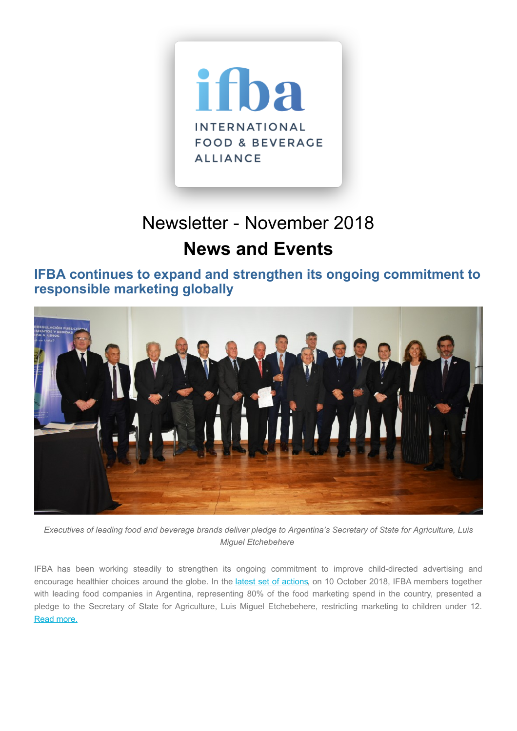

# Newsletter - November 2018 **News and Events**

**IFBA continues to expand and strengthen its ongoing commitment to responsible marketing globally**



Executives of leading food and beverage brands deliver pledge to Argentina's Secretary of State for Agriculture, Luis *Miguel Etchebehere*

IFBA has been working steadily to strengthen its ongoing commitment to improve child-directed advertising and encourage healthier choices around the globe. In the latest set of [actions](https://ifballiance.org/uploads/regional/COPAL-2018-10.pdf), on 10 October 2018, IFBA members together with leading food companies in Argentina, representing 80% of the food marketing spend in the country, presented a pledge to the Secretary of State for Agriculture, Luis Miguel Etchebehere, restricting marketing to children under 12. Read [more.](https://www.lanacion.com.ar/2180469-para-fomentar-alimentacion-saludable-empresas-del-sector)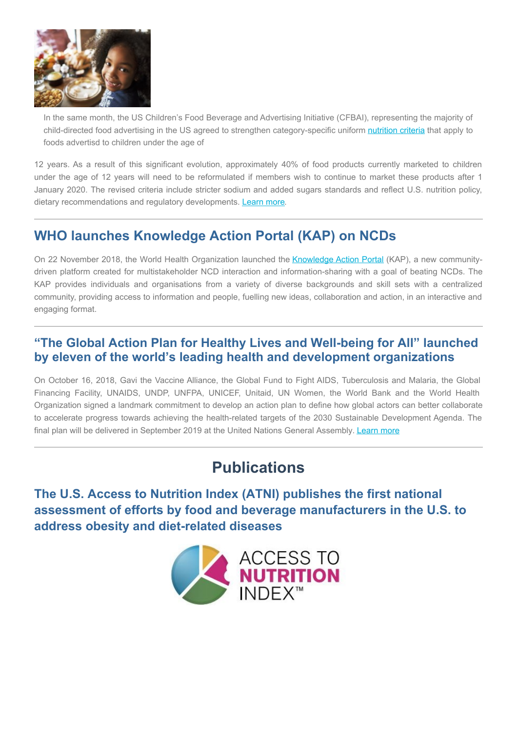

In the same month, the US Children's Food Beverage and Advertising Initiative (CFBAI), representing the majority of child-directed food advertising in the US agreed to strengthen category-specific uniform [nutrition](https://ifballiance.org/uploads/misc/cfbai-category-specific-uniform-nutrition-criteria-2nd-ed.pdf) criteria that apply to foods advertisd to children under the age of

12 years. As a result of this significant evolution, approximately 40% of food products currently marketed to children under the age of 12 years will need to be reformulated if members wish to continue to market these products after 1 January 2020. The revised criteria include stricter sodium and added sugars standards and reflect U.S. nutrition policy, dietary recommendations and regulatory developments. [Learn](https://bbbprograms.org/programs/CFBAI/cfbai-releases--statements/cfbai-revised-uniform-nutrition-criteria/) more.

### **WHO launches Knowledge Action Portal (KAP) on NCDs**

On 22 November 2018, the World Health Organization launched the [Knowledge](https://extranet.who.int/knowledge-action-portal/) Action Portal (KAP), a new communitydriven platform created for multistakeholder NCD interaction and information-sharing with a goal of beating NCDs. The KAP provides individuals and organisations from a variety of diverse backgrounds and skill sets with a centralized community, providing access to information and people, fuelling new ideas, collaboration and action, in an interactive and engaging format.

#### **"The Global Action Plan for Healthy Lives and Well-being for All" launched by eleven of the world's leading health and development organizations**

On October 16, 2018, Gavi the Vaccine Alliance, the Global Fund to Fight AIDS, Tuberculosis and Malaria, the Global Financing Facility, UNAIDS, UNDP, UNFPA, UNICEF, Unitaid, UN Women, the World Bank and the World Health Organization signed a landmark commitment to develop an action plan to define how global actors can better collaborate to accelerate progress towards achieving the health-related targets of the 2030 Sustainable Development Agenda. The final plan will be delivered in September 2019 at the United Nations General Assembly. [Learn](https://ifballiance.org/uploads/misc/Global_Action_Plan_Phase_I.pdf) more

## **Publications**

**The U.S. Access to Nutrition Index (ATNI) publishes the first national assessment of efforts by food and beverage manufacturers in the U.S. to address obesity and diet-related diseases**

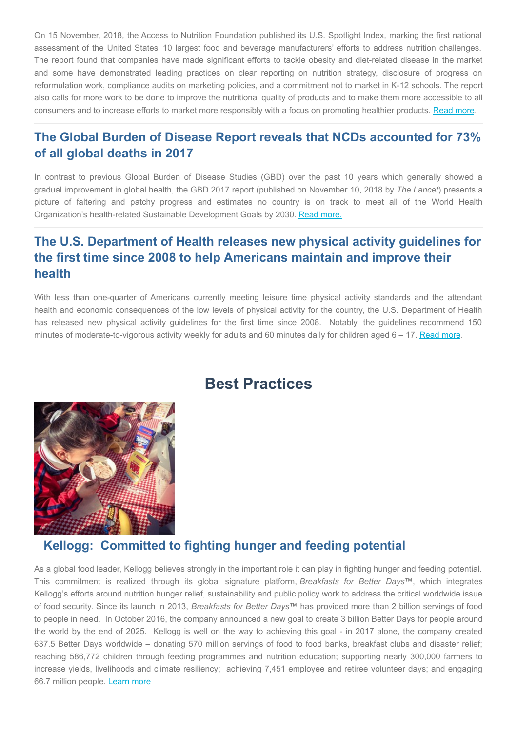On 15 November, 2018, the Access to Nutrition Foundation published its U.S. Spotlight Index, marking the first national assessment of the United States' 10 largest food and beverage manufacturers' efforts to address nutrition challenges. The report found that companies have made significant efforts to tackle obesity and diet-related disease in the market and some have demonstrated leading practices on clear reporting on nutrition strategy, disclosure of progress on reformulation work, compliance audits on marketing policies, and a commitment not to market in K-12 schools. The report also calls for more work to be done to improve the nutritional quality of products and to make them more accessible to all consumers and to increase efforts to market more responsibly with a focus on promoting healthier products. [Read](https://www.accesstonutrition.org/media/results-us-spotlight-index-2018-just-released) more.

### **The Global Burden of Disease Report reveals that NCDs accounted for 73% of all global deaths in 2017**

In contrast to previous Global Burden of Disease Studies (GBD) over the past 10 years which generally showed a gradual improvement in global health, the GBD 2017 report (published on November 10, 2018 by *The Lancet*) presents a picture of faltering and patchy progress and estimates no country is on track to meet all of the World Health Organization's health-related Sustainable Development Goals by 2030. Read [more.](https://www.thelancet.com/journals/lancet/article/PIIS0140-6736(18)32203-7/fulltext)

### **The U.S. Department of Health releases new physical activity guidelines for the first time since 2008 to help Americans maintain and improve their health**

With less than one-quarter of Americans currently meeting leisure time physical activity standards and the attendant health and economic consequences of the low levels of physical activity for the country, the U.S. Department of Health has released new physical activity guidelines for the first time since 2008. Notably, the guidelines recommend 150 minutes of moderate-to-vigorous activity weekly for adults and 60 minutes daily for children aged  $6 - 17$ . [Read](https://ifballiance.org/uploads/misc/Physical_Activity_Guidelines_2nd_edition.pdf) more.

## **Best Practices**



#### **Kellogg: Committed to fighting hunger and feeding potential**

As a global food leader, Kellogg believes strongly in the important role it can play in fighting hunger and feeding potential. This commitment is realized through its global signature platform, *Breakfasts for Better Days*™, which integrates Kellogg's efforts around nutrition hunger relief, sustainability and public policy work to address the critical worldwide issue of food security. Since its launch in 2013, *Breakfasts for Better Days*™ has provided more than 2 billion servings of food to people in need. In October 2016, the company announced a new goal to create 3 billion Better Days for people around the world by the end of 2025. Kellogg is well on the way to achieving this goal - in 2017 alone, the company created 637.5 Better Days worldwide – donating 570 million servings of food to food banks, breakfast clubs and disaster relief; reaching 586,772 children through feeding programmes and nutrition education; supporting nearly 300,000 farmers to increase yields, livelihoods and climate resiliency; achieving 7,451 employee and retiree volunteer days; and engaging 66.7 million people. [Learn](https://urldefense.proofpoint.com/v2/url?u=http-3A__www.openforbreakfast.com_en-5FUS_content_giving-2Dback_breakfast-2Dbetter-2Ddays.html&d=DwMFAg&c=dPDDGlUGlJe7k2bognQ9ww&r=fpsV-POGbYO3pI8hTS48ZmwXJ8TgklZxYRyMNB1_b2M&m=CiNBNhr4LaUIDm_Hk81HjyEwJuHWOLlBtr8uaHQcme0&s=4JJkWHackNf3wDxDTlYIJTAYL2bzqBoMJ767UTcBOM4&e=) more